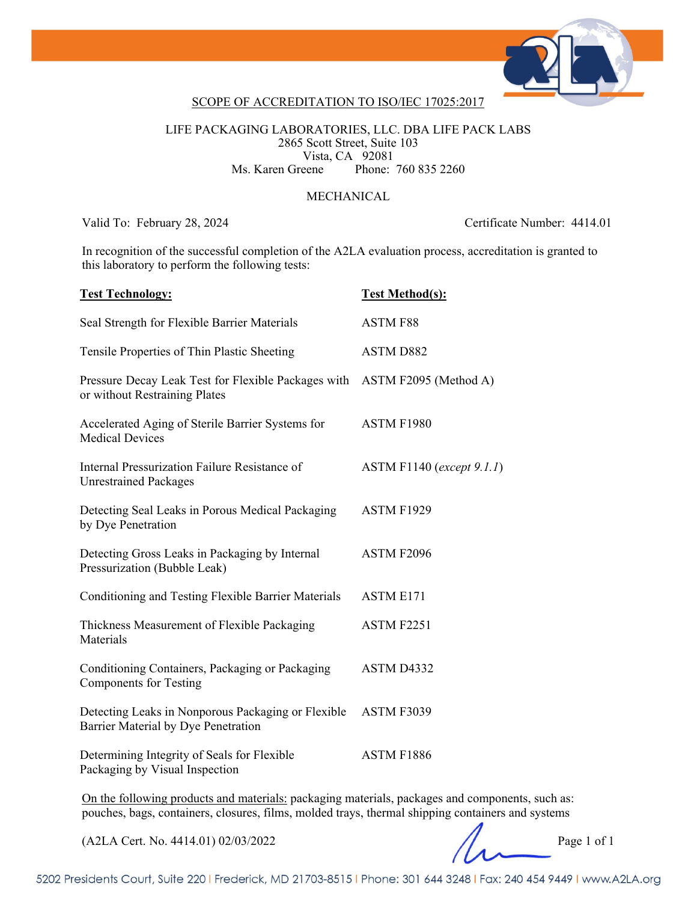

### SCOPE OF ACCREDITATION TO ISO/IEC 17025:2017

LIFE PACKAGING LABORATORIES, LLC. DBA LIFE PACK LABS 2865 Scott Street, Suite 103 Vista, CA 92081<br>Ms. Karen Greene Phone: Phone: 760 835 2260

#### MECHANICAL

Valid To: February 28, 2024 Certificate Number: 4414.01

In recognition of the successful completion of the A2LA evaluation process, accreditation is granted to this laboratory to perform the following tests:

| <b>Test Technology:</b>                                                                   | <b>Test Method(s):</b>    |
|-------------------------------------------------------------------------------------------|---------------------------|
| Seal Strength for Flexible Barrier Materials                                              | <b>ASTM F88</b>           |
| Tensile Properties of Thin Plastic Sheeting                                               | <b>ASTM D882</b>          |
| Pressure Decay Leak Test for Flexible Packages with<br>or without Restraining Plates      | ASTM F2095 (Method A)     |
| Accelerated Aging of Sterile Barrier Systems for<br><b>Medical Devices</b>                | ASTM F1980                |
| Internal Pressurization Failure Resistance of<br><b>Unrestrained Packages</b>             | ASTM F1140 (except 9.1.1) |
| Detecting Seal Leaks in Porous Medical Packaging<br>by Dye Penetration                    | ASTM F1929                |
| Detecting Gross Leaks in Packaging by Internal<br>Pressurization (Bubble Leak)            | ASTM F2096                |
| Conditioning and Testing Flexible Barrier Materials                                       | <b>ASTM E171</b>          |
| Thickness Measurement of Flexible Packaging<br>Materials                                  | ASTM F2251                |
| Conditioning Containers, Packaging or Packaging<br><b>Components for Testing</b>          | ASTM D4332                |
| Detecting Leaks in Nonporous Packaging or Flexible<br>Barrier Material by Dye Penetration | ASTM F3039                |
| Determining Integrity of Seals for Flexible<br>Packaging by Visual Inspection             | ASTM F1886                |
|                                                                                           |                           |

On the following products and materials: packaging materials, packages and components, such as: pouches, bags, containers, closures, films, molded trays, thermal shipping containers and systems

(A2LA Cert. No. 4414.01) 02/03/2022 Page 1 of 1